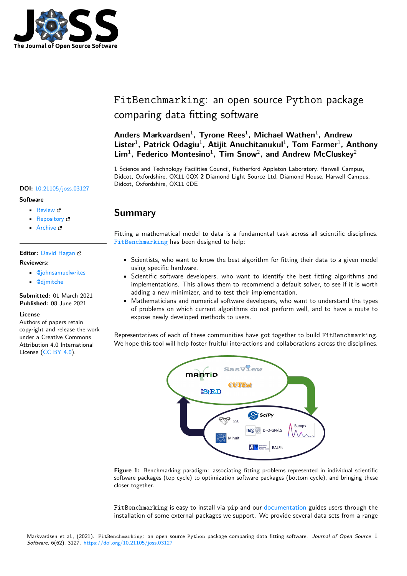

# FitBenchmarking: an open source Python package comparing data fitting software

## **Anders Markvardsen**<sup>1</sup> **, Tyrone Rees**<sup>1</sup> **, Michael Wathen**<sup>1</sup> **, Andrew** Lister<sup>1</sup>, Patrick Odagiu<sup>1</sup>, Atijit Anuchitanukul<sup>1</sup>, Tom Farmer<sup>1</sup>, Anthony Lim<sup>1</sup>, Federico Montesino<sup>1</sup>, Tim Snow<sup>2</sup>, and Andrew McCluskey<sup>2</sup>

**1** Science and Technology Facilities Council, Rutherford Appleton Laboratory, Harwell Campus, Didcot, Oxfordshire, OX11 0QX **2** Diamond Light Source Ltd, Diamond House, Harwell Campus, Didcot, Oxfordshire, OX11 0DE **DOI:** 10.21105/joss.03127

#### **Software**

- Review C
- [Repository](https://doi.org/10.21105/joss.03127) &
- Archive L'

### **Editor:** [David Ha](https://github.com/fitbenchmarking/fitbenchmarking)gan **Revie[wers:](https://doi.org/10.5281/zenodo.4892752)**

- @johnsamuelwrites
- @[djmitche](https://www.quant-aq.com/meet-the-team)

**Submitted:** 01 March 2021 **Published:** [08 June 2021](https://github.com/johnsamuelwrites)

#### **Licen[se](https://github.com/djmitche)**

Authors of papers retain copyright and release the work under a Creative Commons Attribution 4.0 International License (CC BY 4.0).



Fitting a mathematical model to data is a fundamental task across all scientific disciplines. FitBenchmarking has been designed to help:

- Scientists, who want to know the best algorithm for fitting their data to a given model using specific hardware.
- [Scientific sof](https://fitbenchmarking.com/)tware developers, who want to identify the best fitting algorithms and implementations. This allows them to recommend a default solver, to see if it is worth adding a new minimizer, and to test their implementation.
- Mathematicians and numerical software developers, who want to understand the types of problems on which current algorithms do not perform well, and to have a route to expose newly developed methods to users.

Representatives of each of these communities have got together to build FitBenchmarking. We hope this tool will help foster fruitful interactions and collaborations across the disciplines.



**Figure 1:** Benchmarking paradigm: associating fitting problems represented in individual scientific software packages (top cycle) to optimization software packages (bottom cycle), and bringing these closer together.

FitBenchmarking is easy to install via pip and our documentation guides users through the installation of some external packages we support. We provide several data sets from a range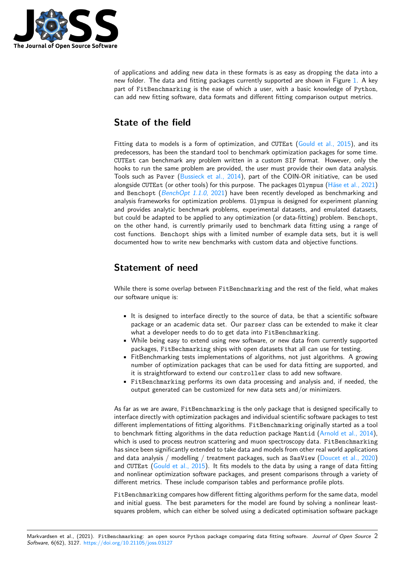

of applications and adding new data in these formats is as easy as dropping the data into a new folder. The data and fitting packages currently supported are shown in Figure 1. A key part of FitBenchmarking is the ease of which a user, with a basic knowledge of Python, can add new fitting software, data formats and different fitting comparison output metrics.

## **State of the field**

Fitting data to models is a form of optimization, and CUTEst (Gould et al., 2015), and its predecessors, has been the standard tool to benchmark optimization packages for some time. CUTEst can benchmark any problem written in a custom SIF format. However, only the hooks to run the same problem are provided, the user must provide their own data analysis. Tools such as Paver (Bussieck et al., 2014), part of the COI[N-OR initiative, can](#page-3-0) be used alongside CUTEst (or other tools) for this purpose. The packages Olympus (Häse et al., 2021) and Benchopt (*BenchOpt 1.1.0*, 2021) have been recently developed as benchmarking and analysis frameworks for optimization problems. Olympus is designed for experiment planning and provides analytic [benchmark problems,](#page-3-1) experimental datasets, and emulated datasets, but could be adapted to be applied to any optimization (or data-fitting) problem. [Benchopt](#page-3-2), on the other ha[nd, is currently primar](#page-3-3)ily used to benchmark data fitting using a range of cost functions. Benchopt ships with a limited number of example data sets, but it is well documented how to write new benchmarks with custom data and objective functions.

## **Statement of need**

While there is some overlap between FitBenchmarking and the rest of the field, what makes our software unique is:

- It is designed to interface directly to the source of data, be that a scientific software package or an academic data set. Our parser class can be extended to make it clear what a developer needs to do to get data into FitBenchmarking.
- While being easy to extend using new software, or new data from currently supported packages, FitBechmarking ships with open datasets that all can use for testing.
- FitBenchmarking tests implementations of algorithms, not just algorithms. A growing number of optimization packages that can be used for data fitting are supported, and it is straightforward to extend our controller class to add new software.
- FitBenchmarking performs its own data processing and analysis and, if needed, the output generated can be customized for new data sets and/or minimizers.

As far as we are aware, FitBenchmarking is the only package that is designed specifically to interface directly with optimization packages and individual scientific software packages to test different implementations of fitting algorithms. FitBenchmarking originally started as a tool to benchmark fitting algorithms in the data reduction package Mantid (Arnold et al., 2014), which is used to process neutron scattering and muon spectroscopy data. FitBenchmarking has since been significantly extended to take data and models from other real world applications and data analysis / modelling / treatment packages, such as  $SasView$  (Doucet et al., 2020) and CUTEst (Gould et al., 2015). It fits models to the data by using a [range of data fittin](#page-3-4)g and nonlinear optimization software packages, and present comparisons through a variety of different metrics. These include comparison tables and performance profile plots.

FitBenchmarking compares how different fitting algorithms perform for [the same data, mode](#page-3-5)l and initial gu[ess. The best para](#page-3-0)meters for the model are found by solving a nonlinear leastsquares problem, which can either be solved using a dedicated optimisation software package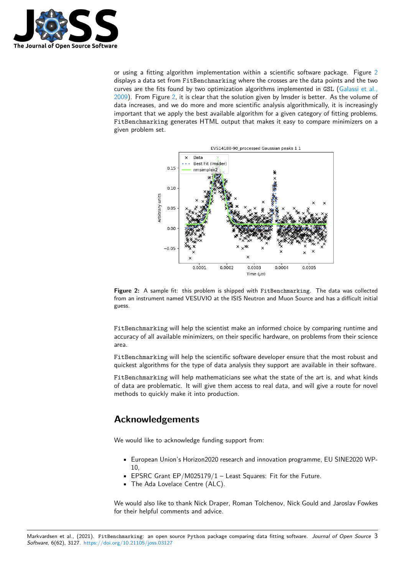

or using a fitting algorithm implementation within a scientific software package. Figure 2 displays a data set from FitBenchmarking where the crosses are the data points and the two curves are the fits found by two optimization algorithms implemented in GSL (Galassi et al., 2009). From Figure 2, it is clear that the solution given by lmsder is better. As the volume of data increases, and we do more and more scientific analysis algorithmically, it is increasing[ly](#page-2-0) important that we apply the best available algorithm for a given category of fitting problems. FitBenchmarking generates HTML output that makes it easy to compare m[inimizers on a](#page-3-6) [given](#page-3-6) problem set.

<span id="page-2-0"></span>

**Figure 2:** A sample fit: this problem is shipped with FitBenchmarking. The data was collected from an instrument named VESUVIO at the ISIS Neutron and Muon Source and has a difficult initial guess.

FitBenchmarking will help the scientist make an informed choice by comparing runtime and accuracy of all available minimizers, on their specific hardware, on problems from their science area.

FitBenchmarking will help the scientific software developer ensure that the most robust and quickest algorithms for the type of data analysis they support are available in their software.

FitBenchmarking will help mathematicians see what the state of the art is, and what kinds of data are problematic. It will give them access to real data, and will give a route for novel methods to quickly make it into production.

## **Acknowledgements**

We would like to acknowledge funding support from:

- European Union's Horizon2020 research and innovation programme, EU SINE2020 WP-10,
- EPSRC Grant EP/M025179/1 Least Squares: Fit for the Future.
- The Ada Lovelace Centre (ALC).

We would also like to thank Nick Draper, Roman Tolchenov, Nick Gould and Jaroslav Fowkes for their helpful comments and advice.